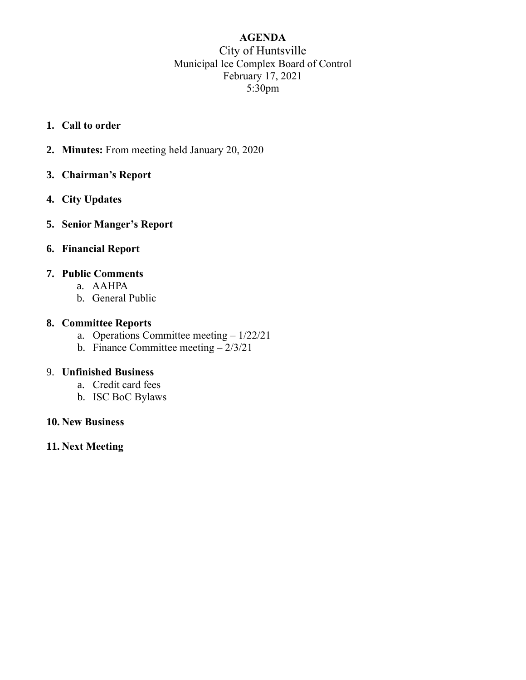## **AGENDA** City of Huntsville Municipal Ice Complex Board of Control February 17, 2021 5:30pm

- **1. Call to order**
- **2. Minutes:** From meeting held January 20, 2020
- **3. Chairman's Report**
- **4. City Updates**
- **5. Senior Manger's Report**
- **6. Financial Report**

## **7. Public Comments**

- a. AAHPA
- b. General Public

#### **8. Committee Reports**

- a. Operations Committee meeting 1/22/21
- b. Finance Committee meeting  $-2/3/21$

#### 9. **Unfinished Business**

- a. Credit card fees
- b. ISC BoC Bylaws

#### **10. New Business**

**11. Next Meeting**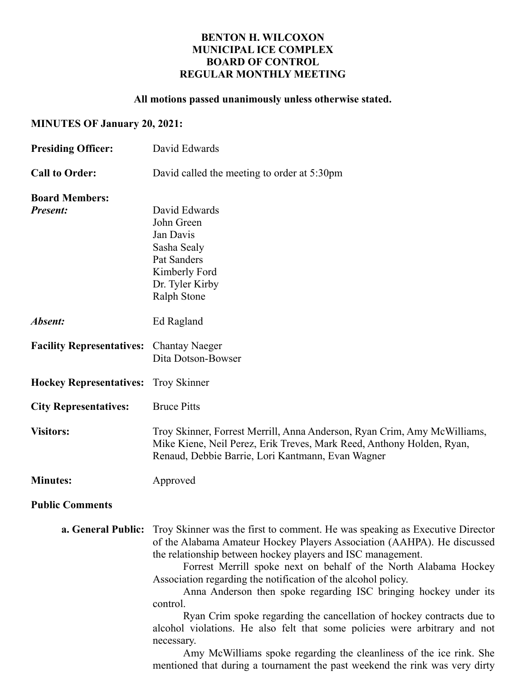#### **BENTON H. WILCOXON MUNICIPAL ICE COMPLEX BOARD OF CONTROL REGULAR MONTHLY MEETING**

#### **All motions passed unanimously unless otherwise stated.**

## **MINUTES OF January 20, 2021:**

| <b>Presiding Officer:</b>                       | David Edwards                                                                                                                                                                                                                                                                                                                                                                                                                                                                                                                                                                                                                                                                                                                                                                                    |
|-------------------------------------------------|--------------------------------------------------------------------------------------------------------------------------------------------------------------------------------------------------------------------------------------------------------------------------------------------------------------------------------------------------------------------------------------------------------------------------------------------------------------------------------------------------------------------------------------------------------------------------------------------------------------------------------------------------------------------------------------------------------------------------------------------------------------------------------------------------|
| <b>Call to Order:</b>                           | David called the meeting to order at 5:30pm                                                                                                                                                                                                                                                                                                                                                                                                                                                                                                                                                                                                                                                                                                                                                      |
| <b>Board Members:</b><br><b>Present:</b>        | David Edwards<br>John Green<br>Jan Davis<br>Sasha Sealy<br>Pat Sanders<br>Kimberly Ford<br>Dr. Tyler Kirby<br><b>Ralph Stone</b>                                                                                                                                                                                                                                                                                                                                                                                                                                                                                                                                                                                                                                                                 |
| Absent:                                         | Ed Ragland                                                                                                                                                                                                                                                                                                                                                                                                                                                                                                                                                                                                                                                                                                                                                                                       |
| <b>Facility Representatives:</b> Chantay Naeger | Dita Dotson-Bowser                                                                                                                                                                                                                                                                                                                                                                                                                                                                                                                                                                                                                                                                                                                                                                               |
| <b>Hockey Representatives:</b>                  | <b>Troy Skinner</b>                                                                                                                                                                                                                                                                                                                                                                                                                                                                                                                                                                                                                                                                                                                                                                              |
| <b>City Representatives:</b>                    | <b>Bruce Pitts</b>                                                                                                                                                                                                                                                                                                                                                                                                                                                                                                                                                                                                                                                                                                                                                                               |
| <b>Visitors:</b>                                | Troy Skinner, Forrest Merrill, Anna Anderson, Ryan Crim, Amy McWilliams,<br>Mike Kiene, Neil Perez, Erik Treves, Mark Reed, Anthony Holden, Ryan,<br>Renaud, Debbie Barrie, Lori Kantmann, Evan Wagner                                                                                                                                                                                                                                                                                                                                                                                                                                                                                                                                                                                           |
| <b>Minutes:</b>                                 | Approved                                                                                                                                                                                                                                                                                                                                                                                                                                                                                                                                                                                                                                                                                                                                                                                         |
| <b>Public Comments</b>                          |                                                                                                                                                                                                                                                                                                                                                                                                                                                                                                                                                                                                                                                                                                                                                                                                  |
|                                                 | <b>a. General Public:</b> Troy Skinner was the first to comment. He was speaking as Executive Director<br>of the Alabama Amateur Hockey Players Association (AAHPA). He discussed<br>the relationship between hockey players and ISC management.<br>Forrest Merrill spoke next on behalf of the North Alabama Hockey<br>Association regarding the notification of the alcohol policy.<br>Anna Anderson then spoke regarding ISC bringing hockey under its<br>control.<br>Ryan Crim spoke regarding the cancellation of hockey contracts due to<br>alcohol violations. He also felt that some policies were arbitrary and not<br>necessary.<br>Amy McWilliams spoke regarding the cleanliness of the ice rink. She<br>mentioned that during a tournament the past weekend the rink was very dirty |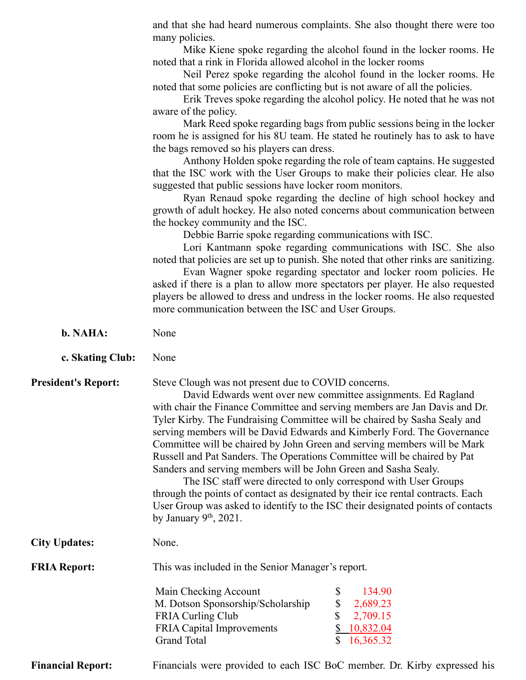|                            | and that she had heard numerous complaints. She also thought there were too                                                                                        |  |  |
|----------------------------|--------------------------------------------------------------------------------------------------------------------------------------------------------------------|--|--|
|                            | many policies.                                                                                                                                                     |  |  |
|                            | Mike Kiene spoke regarding the alcohol found in the locker rooms. He<br>noted that a rink in Florida allowed alcohol in the locker rooms                           |  |  |
|                            | Neil Perez spoke regarding the alcohol found in the locker rooms. He                                                                                               |  |  |
|                            | noted that some policies are conflicting but is not aware of all the policies.                                                                                     |  |  |
|                            | Erik Treves spoke regarding the alcohol policy. He noted that he was not<br>aware of the policy.                                                                   |  |  |
|                            | Mark Reed spoke regarding bags from public sessions being in the locker                                                                                            |  |  |
|                            | room he is assigned for his 8U team. He stated he routinely has to ask to have                                                                                     |  |  |
|                            | the bags removed so his players can dress.<br>Anthony Holden spoke regarding the role of team captains. He suggested                                               |  |  |
|                            | that the ISC work with the User Groups to make their policies clear. He also                                                                                       |  |  |
|                            | suggested that public sessions have locker room monitors.<br>Ryan Renaud spoke regarding the decline of high school hockey and                                     |  |  |
|                            | growth of adult hockey. He also noted concerns about communication between<br>the hockey community and the ISC.                                                    |  |  |
|                            | Debbie Barrie spoke regarding communications with ISC.                                                                                                             |  |  |
|                            | Lori Kantmann spoke regarding communications with ISC. She also                                                                                                    |  |  |
|                            | noted that policies are set up to punish. She noted that other rinks are sanitizing.<br>Evan Wagner spoke regarding spectator and locker room policies. He         |  |  |
|                            | asked if there is a plan to allow more spectators per player. He also requested                                                                                    |  |  |
|                            | players be allowed to dress and undress in the locker rooms. He also requested<br>more communication between the ISC and User Groups.                              |  |  |
|                            |                                                                                                                                                                    |  |  |
| b. NAHA:                   | None                                                                                                                                                               |  |  |
| c. Skating Club:           | None                                                                                                                                                               |  |  |
| <b>President's Report:</b> | Steve Clough was not present due to COVID concerns.                                                                                                                |  |  |
|                            | David Edwards went over new committee assignments. Ed Ragland                                                                                                      |  |  |
|                            | with chair the Finance Committee and serving members are Jan Davis and Dr.<br>Tyler Kirby. The Fundraising Committee will be chaired by Sasha Sealy and            |  |  |
|                            | serving members will be David Edwards and Kimberly Ford. The Governance                                                                                            |  |  |
|                            | Committee will be chaired by John Green and serving members will be Mark<br>Russell and Pat Sanders. The Operations Committee will be chaired by Pat               |  |  |
|                            | Sanders and serving members will be John Green and Sasha Sealy.                                                                                                    |  |  |
|                            | The ISC staff were directed to only correspond with User Groups                                                                                                    |  |  |
|                            | through the points of contact as designated by their ice rental contracts. Each<br>User Group was asked to identify to the ISC their designated points of contacts |  |  |
|                            | by January $9th$ , 2021.                                                                                                                                           |  |  |
| <b>City Updates:</b>       | None.                                                                                                                                                              |  |  |
| <b>FRIA Report:</b>        | This was included in the Senior Manager's report.                                                                                                                  |  |  |
|                            | Main Checking Account<br>\$<br>134.90                                                                                                                              |  |  |
|                            | \$<br>M. Dotson Sponsorship/Scholarship<br>2,689.23                                                                                                                |  |  |
|                            | <b>FRIA Curling Club</b><br>2,709.15<br>10,832.04<br><b>FRIA Capital Improvements</b>                                                                              |  |  |
|                            | <b>Grand Total</b><br>16,365.32                                                                                                                                    |  |  |
| <b>Financial Report:</b>   | Financials were provided to each ISC BoC member. Dr. Kirby expressed his                                                                                           |  |  |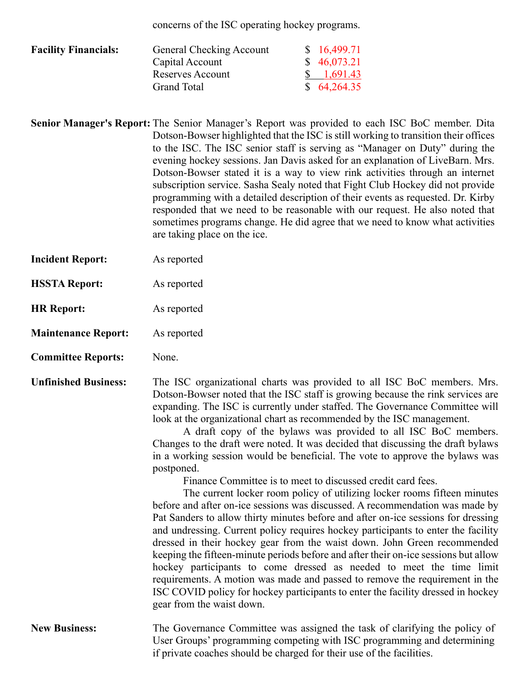concerns of the ISC operating hockey programs.

| <b>Facility Financials:</b> | General Checking Account | \$16,499.71           |
|-----------------------------|--------------------------|-----------------------|
|                             | Capital Account          | \$46,073.21           |
|                             | Reserves Account         | $\frac{\$}{1,691.43}$ |
|                             | <b>Grand Total</b>       | \$64,264.35           |

- **Senior Manager's Report:** The Senior Manager's Report was provided to each ISC BoC member. Dita Dotson-Bowser highlighted that the ISC is still working to transition their offices to the ISC. The ISC senior staff is serving as "Manager on Duty" during the evening hockey sessions. Jan Davis asked for an explanation of LiveBarn. Mrs. Dotson-Bowser stated it is a way to view rink activities through an internet subscription service. Sasha Sealy noted that Fight Club Hockey did not provide programming with a detailed description of their events as requested. Dr. Kirby responded that we need to be reasonable with our request. He also noted that sometimes programs change. He did agree that we need to know what activities are taking place on the ice.
- **Incident Report:** As reported
- **HSSTA Report:** As reported
- **HR Report:** As reported
- **Maintenance Report:** As reported
- **Committee Reports:** None.

**Unfinished Business:** The ISC organizational charts was provided to all ISC BoC members. Mrs. Dotson-Bowser noted that the ISC staff is growing because the rink services are expanding. The ISC is currently under staffed. The Governance Committee will look at the organizational chart as recommended by the ISC management.

> A draft copy of the bylaws was provided to all ISC BoC members. Changes to the draft were noted. It was decided that discussing the draft bylaws in a working session would be beneficial. The vote to approve the bylaws was postponed.

Finance Committee is to meet to discussed credit card fees.

The current locker room policy of utilizing locker rooms fifteen minutes before and after on-ice sessions was discussed. A recommendation was made by Pat Sanders to allow thirty minutes before and after on-ice sessions for dressing and undressing. Current policy requires hockey participants to enter the facility dressed in their hockey gear from the waist down. John Green recommended keeping the fifteen-minute periods before and after their on-ice sessions but allow hockey participants to come dressed as needed to meet the time limit requirements. A motion was made and passed to remove the requirement in the ISC COVID policy for hockey participants to enter the facility dressed in hockey gear from the waist down.

#### **New Business:** The Governance Committee was assigned the task of clarifying the policy of User Groups' programming competing with ISC programming and determining if private coaches should be charged for their use of the facilities.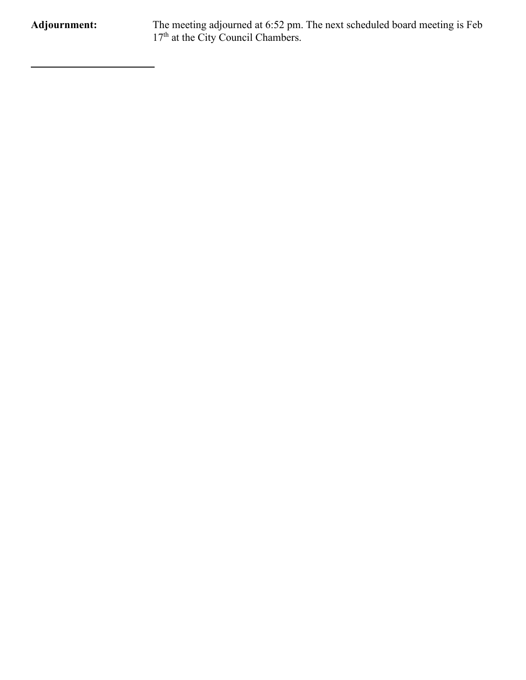**Adjournment:** The meeting adjourned at 6:52 pm. The next scheduled board meeting is Feb 17<sup>th</sup> at the City Council Chambers.